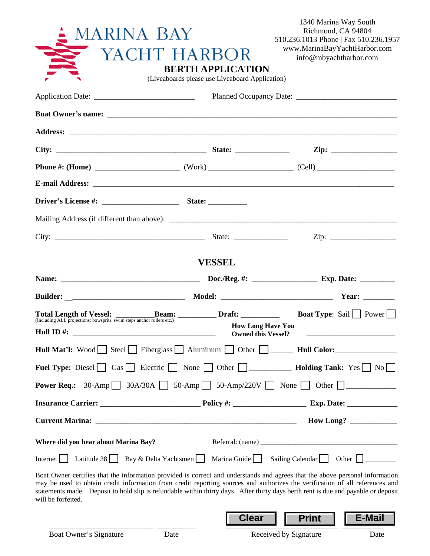| <b>MARINA BAY</b>                          | YACHT HARBOR<br><b>BERTH APPLICATION</b><br>(Liveaboards please use Liveaboard Application) | 1340 Marina Way South<br>Richmond, CA 94804<br>510.236.1013 Phone   Fax 510.236.1957<br>www.MarinaBayYachtHarbor.com<br>info@mbyachtharbor.com                                                                                                                                                                                                                                                     |
|--------------------------------------------|---------------------------------------------------------------------------------------------|----------------------------------------------------------------------------------------------------------------------------------------------------------------------------------------------------------------------------------------------------------------------------------------------------------------------------------------------------------------------------------------------------|
|                                            |                                                                                             |                                                                                                                                                                                                                                                                                                                                                                                                    |
|                                            |                                                                                             |                                                                                                                                                                                                                                                                                                                                                                                                    |
|                                            |                                                                                             |                                                                                                                                                                                                                                                                                                                                                                                                    |
|                                            |                                                                                             |                                                                                                                                                                                                                                                                                                                                                                                                    |
|                                            |                                                                                             |                                                                                                                                                                                                                                                                                                                                                                                                    |
|                                            |                                                                                             |                                                                                                                                                                                                                                                                                                                                                                                                    |
|                                            |                                                                                             |                                                                                                                                                                                                                                                                                                                                                                                                    |
|                                            |                                                                                             |                                                                                                                                                                                                                                                                                                                                                                                                    |
|                                            |                                                                                             |                                                                                                                                                                                                                                                                                                                                                                                                    |
|                                            | <b>VESSEL</b>                                                                               |                                                                                                                                                                                                                                                                                                                                                                                                    |
|                                            |                                                                                             |                                                                                                                                                                                                                                                                                                                                                                                                    |
|                                            |                                                                                             |                                                                                                                                                                                                                                                                                                                                                                                                    |
| Hull ID $#$ :                              |                                                                                             | Total Length of Vessel: <b>Beam:</b> Draft: <b>Boat Type</b> : Sail Power<br><b>How Long Have You</b><br><b>Owned this Vessel?</b>                                                                                                                                                                                                                                                                 |
|                                            |                                                                                             | Hull Mat'l: Wood Steel Fiberglass Aluminum Other ______ Hull Color:                                                                                                                                                                                                                                                                                                                                |
|                                            |                                                                                             | Fuel Type: Diesel Gas Electric None Other D<br>Other D<br>Mondal Holding Tank: Yes No                                                                                                                                                                                                                                                                                                              |
|                                            |                                                                                             | <b>Power Req.:</b> 30-Amp 30A/30A 50-Amp 50-Amp/220V None 0ther $\Box$                                                                                                                                                                                                                                                                                                                             |
|                                            |                                                                                             |                                                                                                                                                                                                                                                                                                                                                                                                    |
|                                            |                                                                                             |                                                                                                                                                                                                                                                                                                                                                                                                    |
| Where did you hear about Marina Bay?       |                                                                                             |                                                                                                                                                                                                                                                                                                                                                                                                    |
| Internet Latitude 38 Bay & Delta Yachtsmen |                                                                                             | Marina Guide   Sailing Calendar   Other     _______                                                                                                                                                                                                                                                                                                                                                |
| will be forfeited.                         |                                                                                             | Boat Owner certifies that the information provided is correct and understands and agrees that the above personal information<br>may be used to obtain credit information from credit reporting sources and authorizes the verification of all references and<br>statements made. Deposit to hold slip is refundable within thirty days. After thirty days berth rent is due and payable or deposit |

\_\_\_\_\_\_\_\_\_\_\_\_\_\_\_\_\_\_\_\_\_\_\_\_\_\_\_ \_\_\_\_\_\_\_\_\_\_ \_\_\_\_\_\_\_\_\_\_\_\_\_\_\_\_\_\_\_\_\_\_\_\_\_\_\_\_\_ \_\_\_\_\_\_\_\_\_\_\_

**Clear Print E-Mail**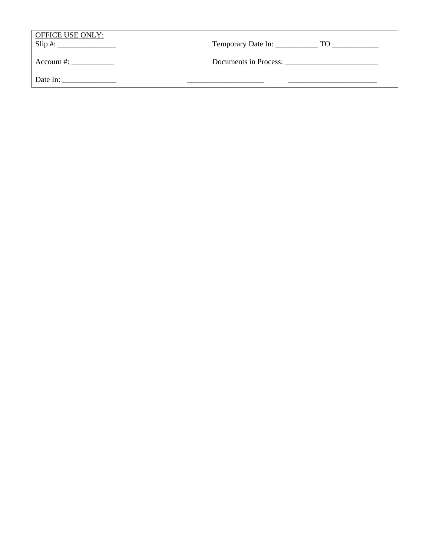| <b>OFFICE USE ONLY:</b><br>$Slip \#:\_$ |                       |
|-----------------------------------------|-----------------------|
| Account $\#$ :                          | Documents in Process: |
| Date In:                                |                       |